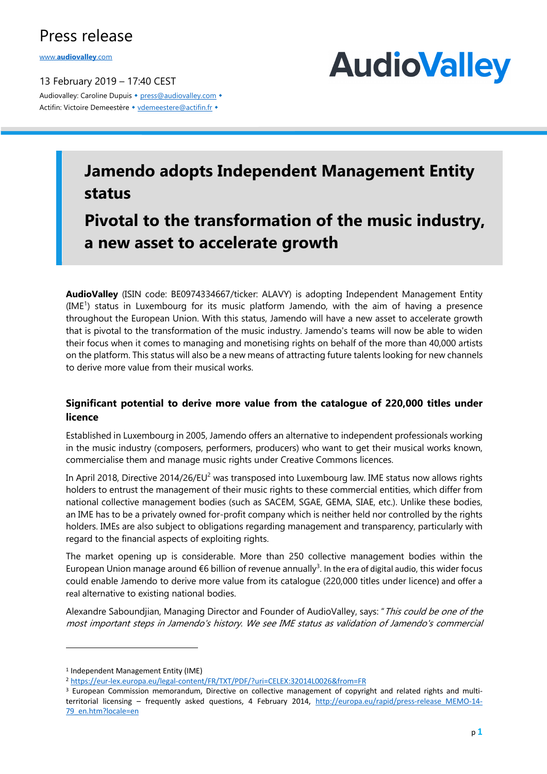## Press release

www.**audiovalley**.com

13 February 2019 – 17:40 CEST Audiovalley: Caroline Dupuis • press@audiovalley.com • Actifin: Victoire Demeestère • vdemeestere@actifin.fr •



## **Jamendo adopts Independent Management Entity status**

**Pivotal to the transformation of the music industry, a new asset to accelerate growth**

**AudioValley** (ISIN code: BE0974334667/ticker: ALAVY) is adopting Independent Management Entity (IME<sup>1</sup>) status in Luxembourg for its music platform Jamendo, with the aim of having a presence throughout the European Union. With this status, Jamendo will have a new asset to accelerate growth that is pivotal to the transformation of the music industry. Jamendo's teams will now be able to widen their focus when it comes to managing and monetising rights on behalf of the more than 40,000 artists on the platform. This status will also be a new means of attracting future talents looking for new channels to derive more value from their musical works.

#### **Significant potential to derive more value from the catalogue of 220,000 titles under licence**

Established in Luxembourg in 2005, Jamendo offers an alternative to independent professionals working in the music industry (composers, performers, producers) who want to get their musical works known, commercialise them and manage music rights under Creative Commons licences.

In April 2018, Directive 2014/26/EU<sup>2</sup> was transposed into Luxembourg law. IME status now allows rights holders to entrust the management of their music rights to these commercial entities, which differ from national collective management bodies (such as SACEM, SGAE, GEMA, SIAE, etc.). Unlike these bodies, an IME has to be a privately owned for-profit company which is neither held nor controlled by the rights holders. IMEs are also subject to obligations regarding management and transparency, particularly with regard to the financial aspects of exploiting rights.

The market opening up is considerable. More than 250 collective management bodies within the European Union manage around €6 billion of revenue annually<sup>3</sup>. In the era of digital audio, this wider focus could enable Jamendo to derive more value from its catalogue (220,000 titles under licence) and offer a real alternative to existing national bodies.

Alexandre Saboundjian, Managing Director and Founder of AudioValley, says: "This could be one of the most important steps in Jamendo's history. We see IME status as validation of Jamendo's commercial

 $\overline{a}$ 

<sup>1</sup> Independent Management Entity (IME)

<sup>2</sup> https://eur-lex.europa.eu/legal-content/FR/TXT/PDF/?uri=CELEX:32014L0026&from=FR

<sup>3</sup> European Commission memorandum, Directive on collective management of copyright and related rights and multiterritorial licensing – frequently asked questions, 4 February 2014, http://europa.eu/rapid/press-release MEMO-14-79\_en.htm?locale=en